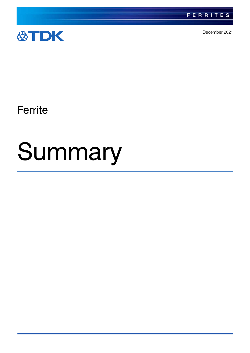



December 2021

**Ferrite** 

# Summary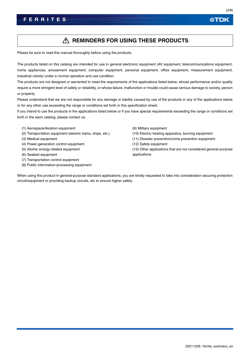## **REMINDERS FOR USING THESE PRODUCTS**

Please be sure to read this manual thoroughly before using the products.

The products listed on this catalog are intended for use in general electronic equipment (AV equipment, telecommunications equipment, home appliances, amusement equipment, computer equipment, personal equipment, office equipment, measurement equipment, industrial robots) under a normal operation and use condition.

The products are not designed or warranted to meet the requirements of the applications listed below, whose performance and/or quality require a more stringent level of safety or reliability, or whose failure, malfunction or trouble could cause serious damage to society, person or property.

Please understand that we are not responsible for any damage or liability caused by use of the products in any of the applications below or for any other use exceeding the range or conditions set forth in this specification sheet.

If you intend to use the products in the applications listed below or if you have special requirements exceeding the range or conditions set forth in the each catalog, please contact us.

- (1) Aerospace/Aviation equipment
- (2) Transportation equipment (electric trains, ships, etc.)
- (3) Medical equipment
- (4) Power-generation control equipment
- (5) Atomic energy-related equipment
- (6) Seabed equipment
- (7) Transportation control equipment
- (8) Public information-processing equipment
- (9) Military equipment
- (10) Electric heating apparatus, burning equipment
- (11) Disaster prevention/crime prevention equipment
- (12) Safety equipment
- (13) Other applications that are not considered general-purpose applications

When using this product in general-purpose standard applications, you are kindly requested to take into consideration securing protection circuit/equipment or providing backup circuits, etc to ensure higher safety.

公TDK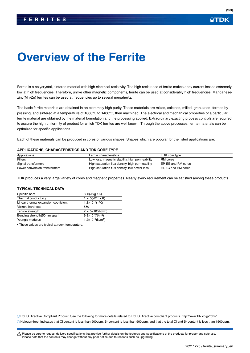## 公TDK

# **Overview of the Ferrite**

Ferrite is a polycrystal, sintered material with high electrical resistivity. The high resistance of ferrite makes eddy current losses extremely low at high frequencies. Therefore, unlike other magnetic components, ferrite can be used at considerably high frequencies. Manganesezinc(Mn-Zn) ferrites can be used at frequencies up to several megahertz.

The basic ferrite materials are obtained in an extremely high purity. These materials are mixed, calcined, milled, granulated, formed by pressing, and sintered at a temperature of 1000°C to 1400°C, then machined. The electrical and mechanical properties of a particular ferrite material are obtained by the material formulation and the processing applied. Extraordinary exacting process controls are required to assure the high uniformity of product for which TDK ferrites are well known. Through the above processes, ferrite materials can be optimized for specific applications.

Each of these materials can be produced in cores of various shapes. Shapes which are popular for the listed applications are:

#### **APPLICATIONS, CHARACTERISTICS AND TDK CORE TYPE**

| Applications                  | Ferrite characteristics                         | TDK core type       |
|-------------------------------|-------------------------------------------------|---------------------|
| Filters                       | Low loss, magnetic stability, high permeability | RM cores            |
| Signal transformers           | High saturation flux density, high permeability | EP. EE and RM cores |
| Power conversion transformers | High saturation flux density, low power loss    | EI. EC and RM cores |

TDK produces a very large variety of cores and magnetic properties. Nearly every requirement can be satisfied among these products.

#### **TYPICAL TECHNICAL DATA**

| Specific heat                        | 800( $J/kg \cdot K$ )                    |
|--------------------------------------|------------------------------------------|
| Thermal conductivity                 | 1 to $5(W/m \cdot K)$                    |
| Linear thermal expansion coefficient | $1.2\times10^{-5}(1/K)$                  |
| <b>Vickers hardness</b>              | 550                                      |
| Tensile strength                     | 2 to $5 \times 10^7$ (N/m <sup>2</sup> ) |
| Bending strength (50mm span)         | $9.8 \times 10^{7}$ (N/m <sup>2</sup> )  |
| Young's modulus                      | $1.2\times10^{11}$ (N/m <sup>2</sup> )   |

• These values are typical at room temperature.

RoHS Directive Compliant Product: See the following for more details related to RoHS Directive compliant products. http://www.tdk.co.jp/rohs/

Halogen-free: Indicates that Cl content is less than 900ppm, Br content is less than 900ppm, and that the total Cl and Br content is less than 1500ppm.

t Please be sure to request delivery specifications that provide further details on the features and specifications of the products for proper and safe use. Please note that the contents may change without any prior notice due to reasons such as upgrading.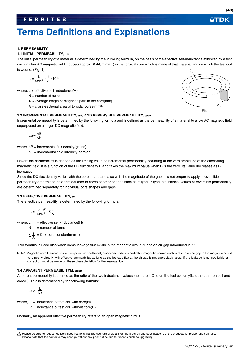## **Terms Definitions and Explanations**

## **1. PERMEABILITY**

## **1.1 INITIAL PERMEABILITY, i**

The initial permeability of a material is determined by the following formula, on the basis of the effective self-inductance exhibited by a test coil for a low AC magnetic field induced(approx.: 0.4A/m max.) in the toroidal core which is made of that material and on which the test coil is wound: (Fig. 1)

$$
\mu i = \frac{L}{4\pi N^2} \cdot \frac{\ell}{A} \cdot 10^{10}
$$

where,  $L =$  effective self-inductance(H)

 $N =$  number of turns

- $\ell$  = average length of magnetic path in the core(mm)
- $A = cross-sectional area of toroidal cores (mm<sup>2</sup>)$

## 1.2 **INCREMENTAL PERMEABILITY,**  $\mu\Delta$ **, AND REVERSIBLE PERMEABILITY,**  $\mu$ **rev**

Incremental permeability is determined by the following formula and is defined as the permeability of a material to a low AC magnetic field superposed on a larger DC magnetic field:

$$
\mu \Delta = \frac{\Delta B}{\Delta H}
$$

where,  $\Delta B$  = incremental flux density(gauss)

 $\Delta H$  = incremental field intensity(oersted)

Reversible permeability is defined as the limiting value of incremental permeability occurring at the zero amplitude of the alternating magnetic field. It is a function of the DC flux density B and takes the maximum value when B is the zero. Its value decreases as B increases.

Since the DC flux density varies with the core shape and also with the magnitude of the gap, it is not proper to apply a reversible permeability determined on a toroidal core to cores of other shapes such as E type, P type, etc. Hence, values of reversible permeability are determined separately for individual core shapes and gaps.

## **1.3 EFFECTIVE PERMEABILITY, LLe**

The effective permeability is determined by the following formula:

$$
\mu\text{e} = \frac{L \times 10^{10}}{4\pi N^2} \cdot \Sigma \frac{\ell}{A}
$$

where,  $L =$  effective self-inductance(H)

$$
N =
$$
number of turns

 $\Sigma \frac{\kappa}{\mathsf{A}} = \mathsf{C}_1 = \text{core constant}(\mathsf{mm}^{-1})$ 

This formula is used also when some leakage flux exists in the magnetic circuit due to an air gap introduced in it.\*

Note\*:Magnetic-core loss coefficient, temperature coefficient, disaccommodation and other magnetic characteristics due to an air gap in the magnetic circuit very nearly directly with effective permeability, as long as the leakage flux at the air gap is not appreciably large. If the leakage is not negligible, a correction must be made on these characteristics for the leakage flux.

#### **1.4 APPARENT PERMEABILITYM, Liapp**

Apparent permeability is defined as the ratio of the two inductance values measured. One on the test coil only(Lo), the other on coil and core(L). This is determined by the following formula:

$$
\mu_{app} = \frac{L}{L_0}
$$

where,  $L =$  inductance of test coil with core(H)

 $Lo = inductance of test coil without core(H)$ 

Normally, an apparent effective permeability refers to an open magnetic circuit.

Please be sure to request delivery specifications that provide further details on the features and specifications of the products for proper and safe use. Please note that the contents may change without any prior notice due to reasons such as upgrading.



(4/8)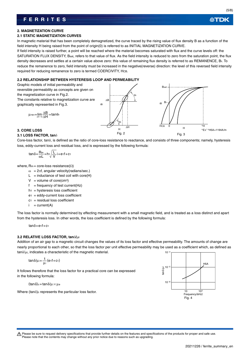必TDK

## **2. MAGNETIZATION CURVE**

## **2.1 STATIC MAGNETIZATION CURVES**

In magnetic material that has been completely demagnetized, the curve traced by the rising value of flux density B as a function of the field intensity H being raised from the point of origin(0) is referred to as INITIAL MAGNETIZATION CURVE.

If field intensity is raised further, a point will be reached where the material becomes saturated with flux and the curve levels off: the SATURATION FLUX DENSITY, Bsat, refers to that value of flux. As the field intensity is reduced to zero from the saturation point, the flux density decreases and settles at a certain value above zero: this value of remaining flux density is referred to as REMANENCE, Br. To reduce the remanence to zero, field intensity must be increased in the negative(reverse) direction: the level of this reversed field intensity required for reducing remanence to zero is termed COERCIVITY, HCB.

## **2.2 RELATIONSHIP BETWEEN HYSTERESIS LOOP AND PERMEABILITY**

Graphic models of initial permeability and

reversible permeability as concepts are given on the magnetization curve in Fig.2. The constants relative to magnetization curve are graphically represented in Fig.3.

$$
\mu\mathsf{rev}\!=\!\underset{\Delta H\rightarrow 0}{\text{lim}}\frac{\Delta B}{\Delta H}\!=\!\text{tan}\theta r
$$



## **3. CORE LOSS**

## **3.1 LOSS FACTOR, tan**

Core-loss factor, tan $\delta$ , is defined as the ratio of core-loss resistance to reactance, and consists of three components; namely, hysteresis loss, eddy-current loss and residual loss, and is expressed by the following formula:

$$
tan \delta = \frac{R_m}{\omega L} = h \sqrt{\frac{L}{V}} i + e_1 f + c_1
$$

where,  $\mathsf{Rm} = \mathsf{core}\text{-}\mathsf{loss}$  resistance( $\Omega$ )

- $\omega = 2\pi f$ , angular velocity(radians/sec.)
- $L =$  inductance of test coil with core(H)
- $V =$  volume of core(cm<sup>3</sup>)
- $f = frequency of test current(Hz)$
- $h_1$  = hysteresis loss coefficient
- e1 = eddy-current loss coefficient
- $c_1$  = residual loss coefficient
- $i = current(A)$

The loss factor is normally determined by effecting measurement with a small magnetic field, and is treated as a loss distinct and apart from the hysteresis loss. In other words, the loss coefficient is defined by the following formula:

 $tan\delta = e_1f + c_1$ 

## **3.2 RELATIVE LOSS FACTOR, tan/i**

Addition of an air gap to a magnetic circuit changes the values of its loss factor and effective permeability. The amounts of change are nearly proportional to each other, so that the loss factor per unit effective permeability may be used as a coefficient which, as defined as  $tan\delta/\mu$ , indicates a characteristic of the magnetic material. 10–4

$$
tan\delta/\mu = \frac{1}{\mu i} (e_1f + c_1)
$$

It follows therefore that the loss factor for a practical core can be expressed in the following formula:

 $(tan\delta)$ c = tan $\delta$ / $\mu$ i  $\times$   $\mu$ e

Where  $(tan\delta)c$  represents the particular loss factor.

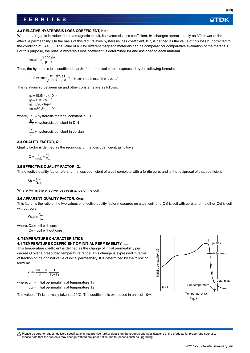公TDK

## **3.3 RELATIVE HYSTERESIS LOSS COEFFICIENT, h10**

When an air gap is introduced into a magnetic circuit, its hysteresis loss coefficient, h<sub>1</sub>, changes approximately as 3/2 power of the effective permeability. On the basis of this fact, relative hysteresis loss coefficient, h10, is defined as the value of this loss h1 corrected to the condition of  $u+1000$ . The value of h10 for different magnetic materials can be compared for comparative evaluation of the materials. For this purpose, the relative hysteresis loss coefficient is determined for and assigned to each material.

$$
h_{10} = h_{1} \cdot \left(\frac{1000}{\mu^{i}}\right)^{3/2}
$$

Thus, the hysteresis loss coefficient, tan $\delta$ h, for a practical core is expressed by the following formula:

$$
tan \delta_h = h_{10} \cdot \left(\frac{\mu_i}{1000}\right)^{3/2} \cdot \sqrt{\frac{L}{V}} \cdot i
$$
 Note<sup>\*</sup>: *h\_{10}* is read "h one-zero."

The relationship between  $\eta$  and other constants are as follows:

 $n = 19.9h10 \times 10^{-6}$  $ηB=1.12×h'/μ<sup>2</sup>$  $ηB=896×h/μ<sup>2</sup>$ h<sub>10</sub>=50.3ηB×103

where,  $\eta B$  = hysteresis material constant in IEC

= hysteresis constant in DIN  $\frac{h}{f}$  = hysteresis constant in Jordan h' μ2 μ2

### **3.4 QUALITY FACTOR, Q**

Quality factor is defined as the reciprocal of the loss coefficient, as follows:

ωL Rm  $Q = \frac{1}{\tan \delta} =$ 

## **3.5 EFFECTIVE QUALITY FACTOR, Qe**

The effective quality factor refers to the loss coefficient of a coil complete with a ferrite core, and is the reciprocal of that coefficient:

 $\mathsf{Q}_{\mathsf{e}} = \frac{\omega \mathsf{L}}{\mathsf{R}_{\mathsf{eff}}}$ 

Where Reff is the effective loss resistance of the coil.

#### **3.6 APPARENT QUALITY FACTOR, Qapp**

This factor is the ratio of the two values of effective quality factor measured on a test coil, one(Qe) is coil with core, and the other(Q0) is coil without core.

$$
Q_{app} = \frac{Q_e}{Q_0}
$$

where,  $Q_e$  = coil with core

 $Q_0 = \text{coil without core}$ 

#### **4. TEMPERATURE CHARACTERISTICS**

#### **4.1 TEMPERATURE COEFFICIENT OF INITIAL PERMEABILITY,**  $\alpha \mu i$

This temperature coefficient is defined as the change of initial permeability per degree C over a prescribed temperature range. This change is expressed in terms of fraction of the original value of initial permeability. It is determined by the following formula:

$$
\alpha_{\mu i} = \frac{\mu_{i2} - \mu_{i1}}{\mu_{i1}} \cdot \frac{1}{T_2 - T_1}
$$

where,  $\mu$ i1 = initial permeability at temperature T<sub>1</sub>

 $\mu$ i2 = initial permeability at temperature T<sub>2</sub>

The value of T<sub>1</sub> is normally taken at 20 $^{\circ}$ C. The coefficient is expressed in units of 10<sup>-6</sup>.



t Please be sure to request delivery specifications that provide further details on the features and specifications of the products for proper and safe use. Please note that the contents may change without any prior notice due to reasons such as upgrading.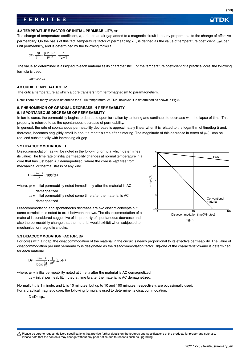## (7/8)

∰TDK

#### **4.2 TEMPERATURE FACTOR OF INITIAL PERMEABILITY,**  $\alpha$ **F**

The change of temperature coefficient,  $\alpha\mu$ , due to an air gap added to a magnetic circuit is nearly proportional to the change of effective permeability. On the basis of this fact, temperature factor of permeability,  $\alpha F$ , is defined as the value of temperature coefficient,  $\alpha \mu i$ , per unit permeability, and is determined by the following formula:

$$
\alpha \mathsf{F} = \frac{\alpha \mu}{\mu \mathsf{i}} = \frac{\mu \mathsf{i} 2 - \mu \mathsf{i} \mathsf{1}}{\mu \mathsf{i} \mathsf{1}^2} \cdot \frac{1}{T_2 - T_1}
$$

The value so determined is assigned to each material as its characteristic. For the temperature coefficient of a practical core, the following formula is used.

αμ=αF×μe

## **4.3 CURIE TEMPERATURE Tc**

The critical temperature at which a core transfers from ferromagnetism to paramagnetism.

Note: There are many ways to determine the Curie temperature. At TDK, however, it is determined as shown in Fig.5.

## **5. PHENOMENON OF GRADUAL DECREASE IN PERMEABILITY**

## **5.1 SPONTANEOUS DECREASE OF PERMEABILITY**

In ferrite cores, the permeability begins to decrease upon formation by sintering and continues to decrease with the lapse of time. This property is referred to as the spontaneous decrease of permeability.

In general, the rate of spontaneous permeability decrease is approximately linear when it is related to the logarithm of time(log t) and, therefore, becomes negligibly small in about a month's time after sintering. The magnitude of this decrease in terms of  $\mu_{el}\mu_{l}$  can be reduced substantially with increasing air gap.

## **5.2 DISACCOMMODATION, D**

Disaccommodation, as will be noted in the following formula which determines its value: The time rate of initial permeability changes at normal temperature in a core that has just been AC demagnetized, where the core is kept free from mechanical or thermal stress of any kind.

$$
D = \frac{\mu_1 - \mu_2}{\mu_1} \times 100\,(%)
$$

where,  $\mu$ 1= initial permeability noted immediately after the material is AC demagnetized.

> $\mu$ <sub>2</sub> = initial permeability noted some time after the material is AC demagnetized.

Disaccommodation and spontaneous decrease are two distinct concepts but some correlation is noted to exist between the two. The disaccommodation of a material is considered suggestive of its property of spontaneous decrease and also the permeability change that the material would exhibit when subjected to mechanical or magnetic shocks.



For cores with air gap, the disaccommodation of the material in the circuit is nearly proportional to its effective permeability. The value of disaccommodation per unit permeability is designated as the disaccommodation factor(DF)-one of the characteristics-and is determined for each material.

$$
DF = \frac{\mu_1 - \mu_2}{\log_{10} \frac{t_2}{t_1}} \cdot \frac{1}{\mu_1^2} (t_2 > t_1)
$$

where,  $\mu_1$  = initial permeability noted at time t<sub>1</sub> after the material is AC demagnetized.  $\mu$ <sub>2</sub> = initial permeability noted at time t<sub>2</sub> after the material is AC demagnetized.

Normally t<sub>1</sub>, is 1 minute, and t2 is 10 minutes; but up to 10 and 100 minutes, respectively, are occasionally used. For a practical magnetic core, the following formula is used to determine its disaccommodation:

D=DF×μe



Please be sure to request delivery specifications that provide further details on the features and specifications of the products for proper and safe use. Please note that the contents may change without any prior notice due to reasons such as upgrading.